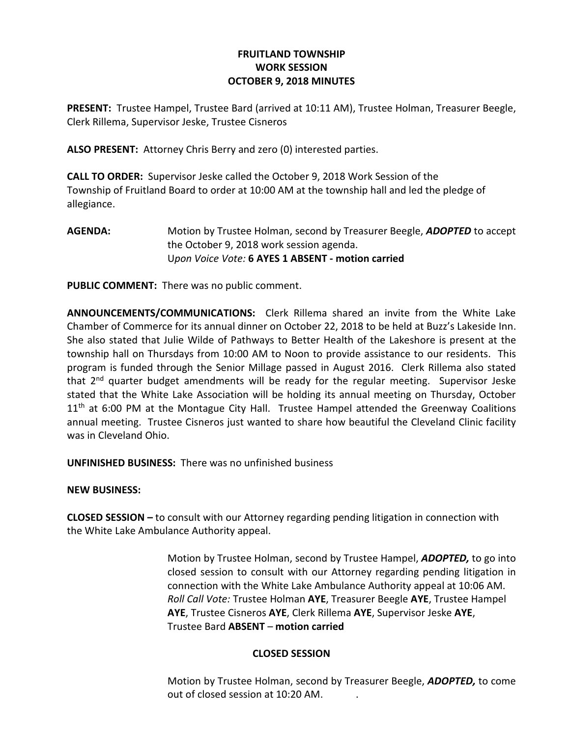## FRUITLAND TOWNSHIP WORK SESSION OCTOBER 9, 2018 MINUTES

PRESENT: Trustee Hampel, Trustee Bard (arrived at 10:11 AM), Trustee Holman, Treasurer Beegle, Clerk Rillema, Supervisor Jeske, Trustee Cisneros

ALSO PRESENT: Attorney Chris Berry and zero (0) interested parties.

CALL TO ORDER: Supervisor Jeske called the October 9, 2018 Work Session of the Township of Fruitland Board to order at 10:00 AM at the township hall and led the pledge of allegiance.

AGENDA: Motion by Trustee Holman, second by Treasurer Beegle, ADOPTED to accept the October 9, 2018 work session agenda. Upon Voice Vote: 6 AYES 1 ABSENT - motion carried

PUBLIC COMMENT: There was no public comment.

ANNOUNCEMENTS/COMMUNICATIONS: Clerk Rillema shared an invite from the White Lake Chamber of Commerce for its annual dinner on October 22, 2018 to be held at Buzz's Lakeside Inn. She also stated that Julie Wilde of Pathways to Better Health of the Lakeshore is present at the township hall on Thursdays from 10:00 AM to Noon to provide assistance to our residents. This program is funded through the Senior Millage passed in August 2016. Clerk Rillema also stated that 2<sup>nd</sup> quarter budget amendments will be ready for the regular meeting. Supervisor Jeske stated that the White Lake Association will be holding its annual meeting on Thursday, October  $11<sup>th</sup>$  at 6:00 PM at the Montague City Hall. Trustee Hampel attended the Greenway Coalitions annual meeting. Trustee Cisneros just wanted to share how beautiful the Cleveland Clinic facility was in Cleveland Ohio.

UNFINISHED BUSINESS: There was no unfinished business

NEW BUSINESS:

CLOSED SESSION – to consult with our Attorney regarding pending litigation in connection with the White Lake Ambulance Authority appeal.

> Motion by Trustee Holman, second by Trustee Hampel, **ADOPTED**, to go into closed session to consult with our Attorney regarding pending litigation in connection with the White Lake Ambulance Authority appeal at 10:06 AM. Roll Call Vote: Trustee Holman AYE, Treasurer Beegle AYE, Trustee Hampel AYE, Trustee Cisneros AYE, Clerk Rillema AYE, Supervisor Jeske AYE, Trustee Bard ABSENT – motion carried

## CLOSED SESSION

Motion by Trustee Holman, second by Treasurer Beegle, ADOPTED, to come out of closed session at 10:20 AM. .